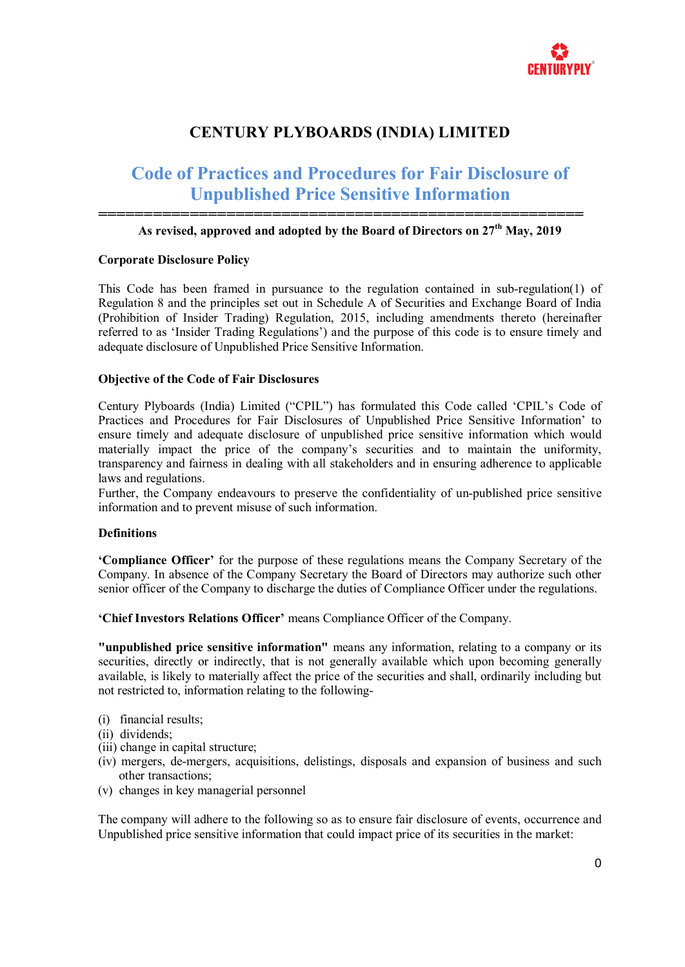

# **CENTURY PLYBOARDS (INDIA) LIMITED**

# **Code of Practices and Procedures for Fair Disclosure of Unpublished Price Sensitive Information**

#### **===================================================== As revised, approved and adopted by the Board of Directors on 27th May, 2019**

#### **Corporate Disclosure Policy**

This Code has been framed in pursuance to the regulation contained in sub-regulation(1) of Regulation 8 and the principles set out in Schedule A of Securities and Exchange Board of India (Prohibition of Insider Trading) Regulation, 2015, including amendments thereto (hereinafter referred to as 'Insider Trading Regulations') and the purpose of this code is to ensure timely and adequate disclosure of Unpublished Price Sensitive Information.

#### **Objective of the Code of Fair Disclosures**

Century Plyboards (India) Limited ("CPIL") has formulated this Code called 'CPIL's Code of Practices and Procedures for Fair Disclosures of Unpublished Price Sensitive Information' to ensure timely and adequate disclosure of unpublished price sensitive information which would materially impact the price of the company's securities and to maintain the uniformity, transparency and fairness in dealing with all stakeholders and in ensuring adherence to applicable laws and regulations.

Further, the Company endeavours to preserve the confidentiality of un-published price sensitive information and to prevent misuse of such information.

#### **Definitions**

**'Compliance Officer'** for the purpose of these regulations means the Company Secretary of the Company. In absence of the Company Secretary the Board of Directors may authorize such other senior officer of the Company to discharge the duties of Compliance Officer under the regulations.

**'Chief Investors Relations Officer'** means Compliance Officer of the Company.

**"unpublished price sensitive information"** means any information, relating to a company or its securities, directly or indirectly, that is not generally available which upon becoming generally available, is likely to materially affect the price of the securities and shall, ordinarily including but not restricted to, information relating to the following-

- (i) financial results;
- (ii) dividends;
- (iii) change in capital structure;
- (iv) mergers, de-mergers, acquisitions, delistings, disposals and expansion of business and such other transactions;
- (v) changes in key managerial personnel

The company will adhere to the following so as to ensure fair disclosure of events, occurrence and Unpublished price sensitive information that could impact price of its securities in the market: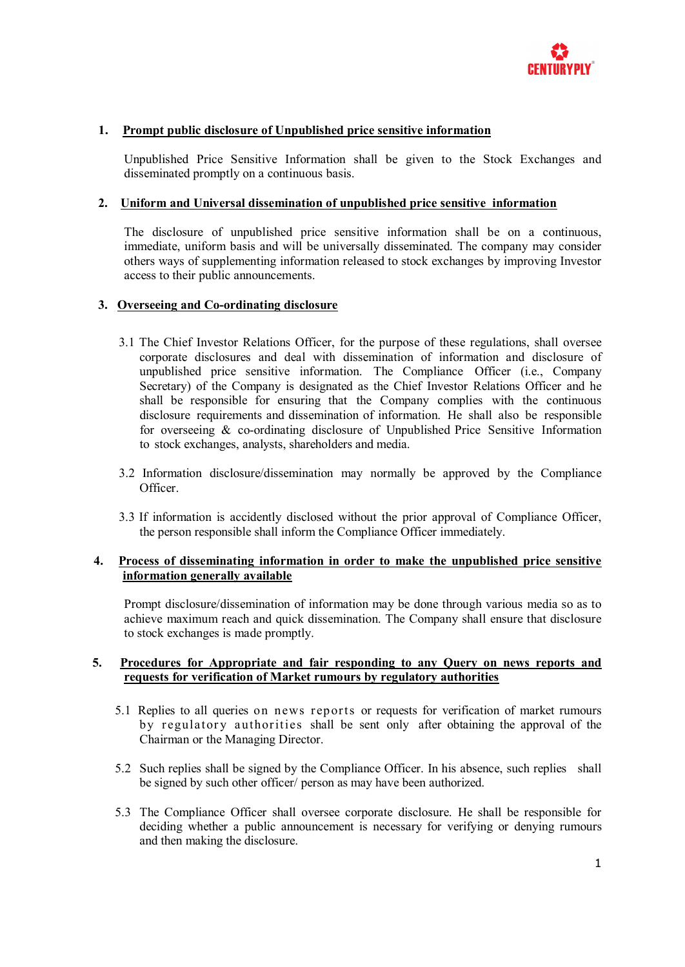

#### **1. Prompt public disclosure of Unpublished price sensitive information**

Unpublished Price Sensitive Information shall be given to the Stock Exchanges and disseminated promptly on a continuous basis.

#### **2. Uniform and Universal dissemination of unpublished price sensitive information**

The disclosure of unpublished price sensitive information shall be on a continuous, immediate, uniform basis and will be universally disseminated. The company may consider others ways of supplementing information released to stock exchanges by improving Investor access to their public announcements.

#### **3. Overseeing and Co-ordinating disclosure**

- 3.1 The Chief Investor Relations Officer, for the purpose of these regulations, shall oversee corporate disclosures and deal with dissemination of information and disclosure of unpublished price sensitive information. The Compliance Officer (i.e., Company Secretary) of the Company is designated as the Chief Investor Relations Officer and he shall be responsible for ensuring that the Company complies with the continuous disclosure requirements and dissemination of information. He shall also be responsible for overseeing & co-ordinating disclosure of Unpublished Price Sensitive Information to stock exchanges, analysts, shareholders and media.
- 3.2 Information disclosure/dissemination may normally be approved by the Compliance Officer.
- 3.3 If information is accidently disclosed without the prior approval of Compliance Officer, the person responsible shall inform the Compliance Officer immediately.

#### **4. Process of disseminating information in order to make the unpublished price sensitive information generally available**

Prompt disclosure/dissemination of information may be done through various media so as to achieve maximum reach and quick dissemination. The Company shall ensure that disclosure to stock exchanges is made promptly.

#### **5. Procedures for Appropriate and fair responding to any Query on news reports and requests for verification of Market rumours by regulatory authorities**

- 5.1 Replies to all queries on news reports or requests for verification of market rumours by regulatory authorities shall be sent only after obtaining the approval of the Chairman or the Managing Director.
- 5.2 Such replies shall be signed by the Compliance Officer. In his absence, such replies shall be signed by such other officer/ person as may have been authorized.
- 5.3 The Compliance Officer shall oversee corporate disclosure. He shall be responsible for deciding whether a public announcement is necessary for verifying or denying rumours and then making the disclosure.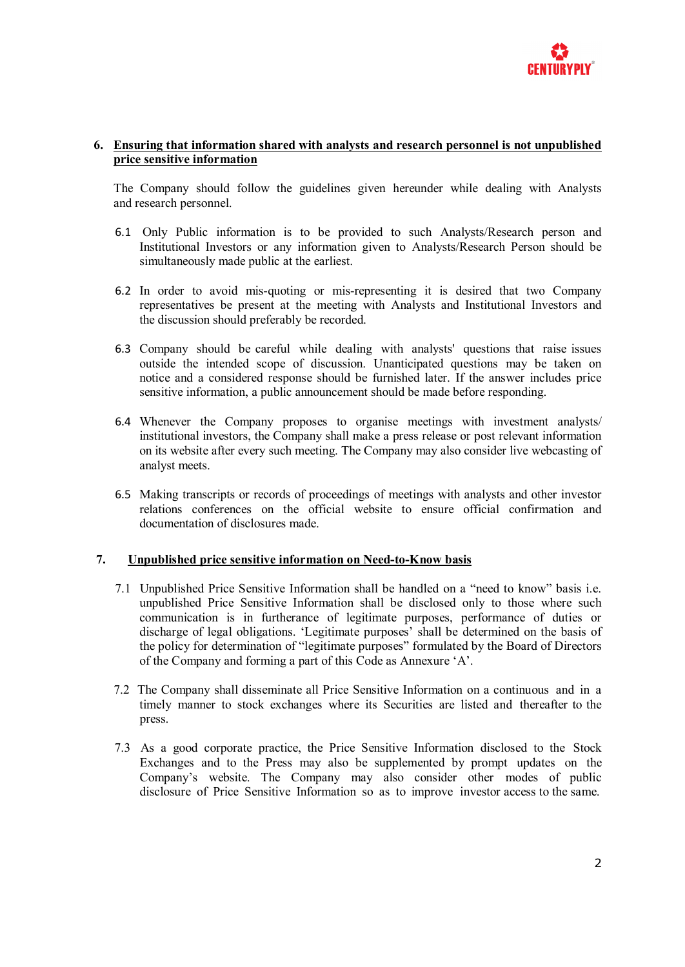

#### **6. Ensuring that information shared with analysts and research personnel is not unpublished price sensitive information**

The Company should follow the guidelines given hereunder while dealing with Analysts and research personnel.

- 6.1 Only Public information is to be provided to such Analysts/Research person and Institutional Investors or any information given to Analysts/Research Person should be simultaneously made public at the earliest.
- 6.2 In order to avoid mis-quoting or mis-representing it is desired that two Company representatives be present at the meeting with Analysts and Institutional Investors and the discussion should preferably be recorded.
- 6.3 Company should be careful while dealing with analysts' questions that raise issues outside the intended scope of discussion. Unanticipated questions may be taken on notice and a considered response should be furnished later. If the answer includes price sensitive information, a public announcement should be made before responding.
- 6.4 Whenever the Company proposes to organise meetings with investment analysts/ institutional investors, the Company shall make a press release or post relevant information on its website after every such meeting. The Company may also consider live webcasting of analyst meets.
- 6.5 Making transcripts or records of proceedings of meetings with analysts and other investor relations conferences on the official website to ensure official confirmation and documentation of disclosures made.

### **7. Unpublished price sensitive information on Need-to-Know basis**

- 7.1 Unpublished Price Sensitive Information shall be handled on a "need to know" basis i.e. unpublished Price Sensitive Information shall be disclosed only to those where such communication is in furtherance of legitimate purposes, performance of duties or discharge of legal obligations. 'Legitimate purposes' shall be determined on the basis of the policy for determination of "legitimate purposes" formulated by the Board of Directors of the Company and forming a part of this Code as Annexure 'A'.
- 7.2 The Company shall disseminate all Price Sensitive Information on a continuous and in a timely manner to stock exchanges where its Securities are listed and thereafter to the press.
- 7.3 As a good corporate practice, the Price Sensitive Information disclosed to the Stock Exchanges and to the Press may also be supplemented by prompt updates on the Company's website. The Company may also consider other modes of public disclosure of Price Sensitive Information so as to improve investor access to the same.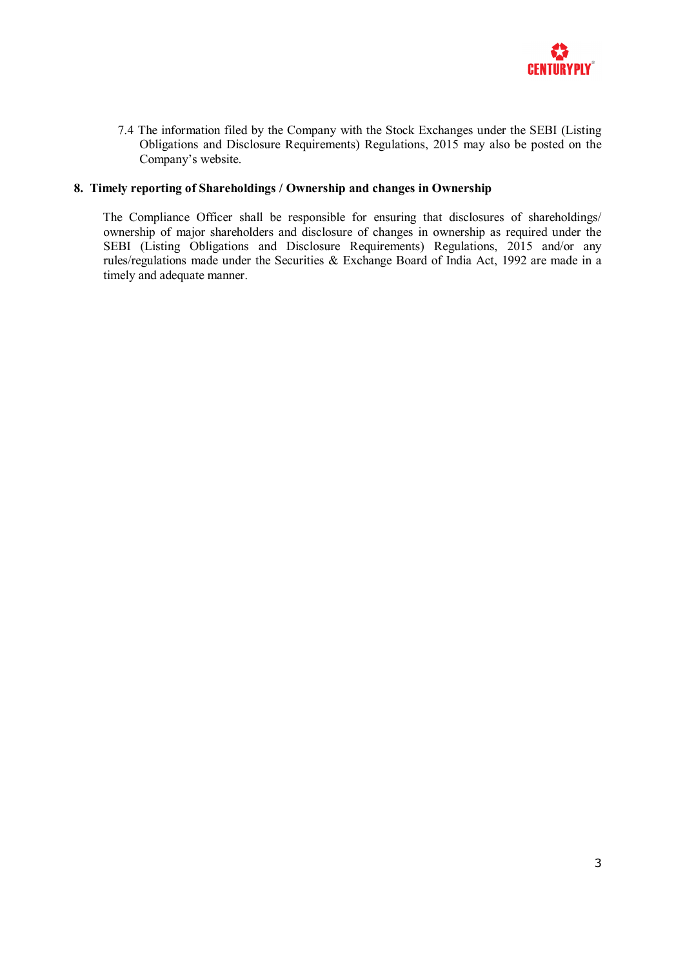

7.4 The information filed by the Company with the Stock Exchanges under the SEBI (Listing Obligations and Disclosure Requirements) Regulations, 2015 may also be posted on the Company's website.

### **8. Timely reporting of Shareholdings / Ownership and changes in Ownership**

The Compliance Officer shall be responsible for ensuring that disclosures of shareholdings/ ownership of major shareholders and disclosure of changes in ownership as required under the SEBI (Listing Obligations and Disclosure Requirements) Regulations, 2015 and/or any rules/regulations made under the Securities & Exchange Board of India Act, 1992 are made in a timely and adequate manner.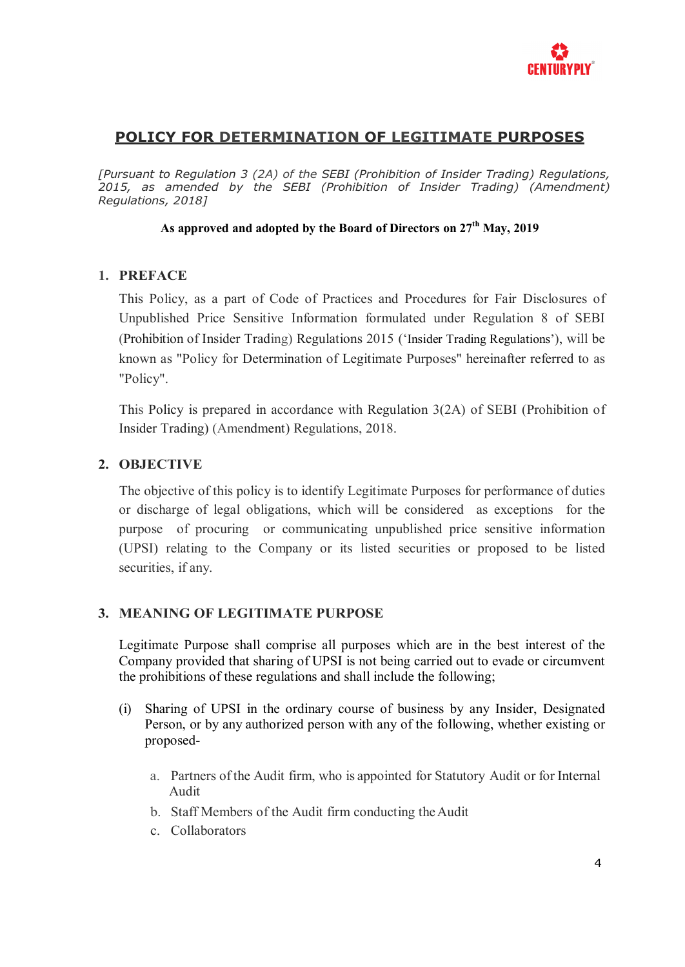

# **POLICY FOR DETERMINATION OF LEGITIMATE PURPOSES**

*[Pursuant to Regulation 3 (2A) of the SEBI (Prohibition of Insider Trading) Regulations, 2015, as amended by the SEBI (Prohibition of Insider Trading) (Amendment) Regulations, 2018]*

# **As approved and adopted by the Board of Directors on 27th May, 2019**

# **1. PREFACE**

This Policy, as a part of Code of Practices and Procedures for Fair Disclosures of Unpublished Price Sensitive Information formulated under Regulation 8 of SEBI (Prohibition of Insider Trading) Regulations 2015 ('Insider Trading Regulations'), will be known as "Policy for Determination of Legitimate Purposes" hereinafter referred to as "Policy".

This Policy is prepared in accordance with Regulation 3(2A) of SEBI (Prohibition of Insider Trading) (Amendment) Regulations, 2018.

# **2. OBJECTIVE**

The objective of this policy is to identify Legitimate Purposes for performance of duties or discharge of legal obligations, which will be considered as exceptions for the purpose of procuring or communicating unpublished price sensitive information (UPSI) relating to the Company or its listed securities or proposed to be listed securities, if any.

# **3. MEANING OF LEGITIMATE PURPOSE**

Legitimate Purpose shall comprise all purposes which are in the best interest of the Company provided that sharing of UPSI is not being carried out to evade or circumvent the prohibitions of these regulations and shall include the following;

- (i) Sharing of UPSI in the ordinary course of business by any Insider, Designated Person, or by any authorized person with any of the following, whether existing or proposed
	- a. Partners of the Audit firm, who is appointed for Statutory Audit or for Internal Audit
	- b. Staff Members of the Audit firm conducting the Audit
	- c. Collaborators